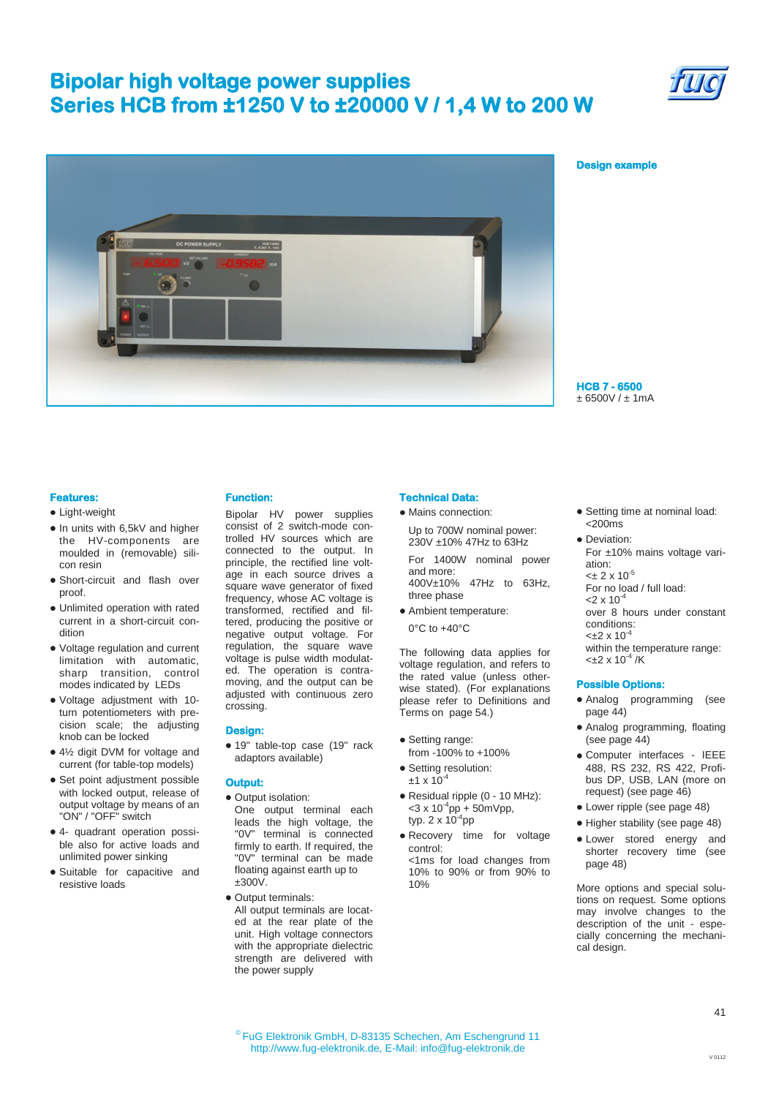## **Bipolar high voltage power supplies Series HCB from ±1250 V to ±20000 V / 1,4 W to 200 W**





## **Design example**

**HCB 7 - 6500**  ± 6500V / ± 1mA

## **Features:**

### • Light-weight

- In units with 6,5kV and higher the HV-components are moulded in (removable) silicon resin
- Short-circuit and flash over proof.
- Unlimited operation with rated current in a short-circuit condition
- Voltage regulation and current limitation with automatic, sharp transition, control modes indicated by LEDs
- Voltage adjustment with 10 turn potentiometers with precision scale; the adjusting knob can be locked
- 4½ digit DVM for voltage and current (for table-top models)
- Set point adjustment possible with locked output, release of output voltage by means of an "ON" / "OFF" switch
- 4- quadrant operation possible also for active loads and unlimited power sinking
- Suitable for capacitive and resistive loads

### **Function:**

Bipolar HV power supplies consist of 2 switch-mode controlled HV sources which are connected to the output. In principle, the rectified line voltage in each source drives a square wave generator of fixed frequency, whose AC voltage is transformed, rectified and filtered, producing the positive or negative output voltage. For regulation, the square wave voltage is pulse width modulated. The operation is contramoving, and the output can be adiusted with continuous zero crossing.

#### **Design:**

19" table-top case (19" rack adaptors available)

#### **Output:**

- Output isolation:
- One output terminal each leads the high voltage, the "0V" terminal is connected firmly to earth. If required, the "0V" terminal can be made floating against earth up to  $±300V.$
- Output terminals: All output terminals are located at the rear plate of the unit. High voltage connectors with the appropriate dielectric strength are delivered with the power supply

#### **Technical Data:**   $\bullet$  Mains connection:

Up to 700W nominal power: 230V ±10% 47Hz to 63Hz

For 1400W nominal power and more: 400V±10% 47Hz to 63Hz,

Ambient temperature:

0°C to +40°C

three phase

The following data applies for voltage regulation, and refers to the rated value (unless otherwise stated). (For explanations please refer to Definitions and .<br>Terms on page 54.)

- Setting range:
- from -100% to +100% • Setting resolution:
- $±1 \times 10^{-4}$ Residual ripple (0 - 10 MHz):
- $<$ 3 x 10<sup>-4</sup>pp + 50mVpp, typ. 2 x 10<sup>-4</sup>pp
- Recovery time for voltage control: <1ms for load changes from
	- 10% to 90% or from 90% to 10%
- Setting time at nominal load:  $<sub>200ms</sub>$ </sub>
- **Devistion:** For ±10% mains voltage variation:  $<\pm$  2 x 10  $^5$ For no load / full load:  $2 \times 10^{-4}$ over 8 hours under constant

conditions:

 $<\pm 2 \times 10^{-4}$ within the temperature range:  $<\pm 2 \times 10^{-4}$  /K

#### **Possible Options:**

- Analog programming (see page 44)
- Analog programming, floating (see page 44)
- Computer interfaces IEEE 488, RS 232, RS 422, Profibus DP, USB, LAN (more on request) (see page 46)
- Lower ripple (see page 48)
- Higher stability (see page 48)
- Lower stored energy and shorter recovery time (see page 48)

More options and special solutions on request. Some options may involve changes to the description of the unit - especially concerning the mechanical design.

V 0112